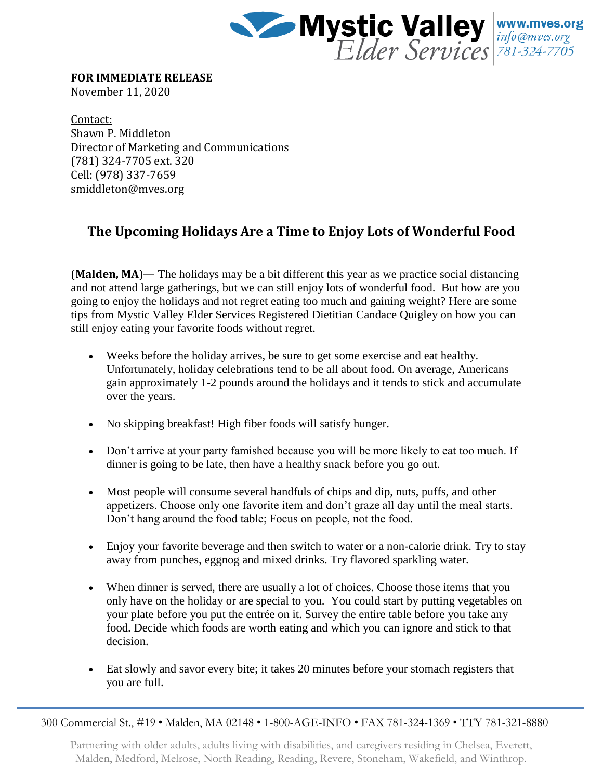

**FOR IMMEDIATE RELEASE**

November 11, 2020

Contact: Shawn P. Middleton Director of Marketing and Communications (781) 324-7705 ext. 320 Cell: (978) 337-7659 smiddleton@mves.org

## **The Upcoming Holidays Are a Time to Enjoy Lots of Wonderful Food**

(**Malden, MA**)— The holidays may be a bit different this year as we practice social distancing and not attend large gatherings, but we can still enjoy lots of wonderful food. But how are you going to enjoy the holidays and not regret eating too much and gaining weight? Here are some tips from Mystic Valley Elder Services Registered Dietitian Candace Quigley on how you can still enjoy eating your favorite foods without regret.

- Weeks before the holiday arrives, be sure to get some exercise and eat healthy. Unfortunately, holiday celebrations tend to be all about food. On average, Americans gain approximately 1-2 pounds around the holidays and it tends to stick and accumulate over the years.
- No skipping breakfast! High fiber foods will satisfy hunger.
- Don't arrive at your party famished because you will be more likely to eat too much. If dinner is going to be late, then have a healthy snack before you go out.
- Most people will consume several handfuls of chips and dip, nuts, puffs, and other appetizers. Choose only one favorite item and don't graze all day until the meal starts. Don't hang around the food table; Focus on people, not the food.
- Enjoy your favorite beverage and then switch to water or a non-calorie drink. Try to stay away from punches, eggnog and mixed drinks. Try flavored sparkling water.
- When dinner is served, there are usually a lot of choices. Choose those items that you only have on the holiday or are special to you. You could start by putting vegetables on your plate before you put the entrée on it. Survey the entire table before you take any food. Decide which foods are worth eating and which you can ignore and stick to that decision.
- Eat slowly and savor every bite; it takes 20 minutes before your stomach registers that you are full.

300 Commercial St., #19 • Malden, MA 02148 • 1-800-AGE-INFO • FAX 781-324-1369 • TTY 781-321-8880

Partnering with older adults, adults living with disabilities, and caregivers residing in Chelsea, Everett, Malden, Medford, Melrose, North Reading, Reading, Revere, Stoneham, Wakefield, and Winthrop.